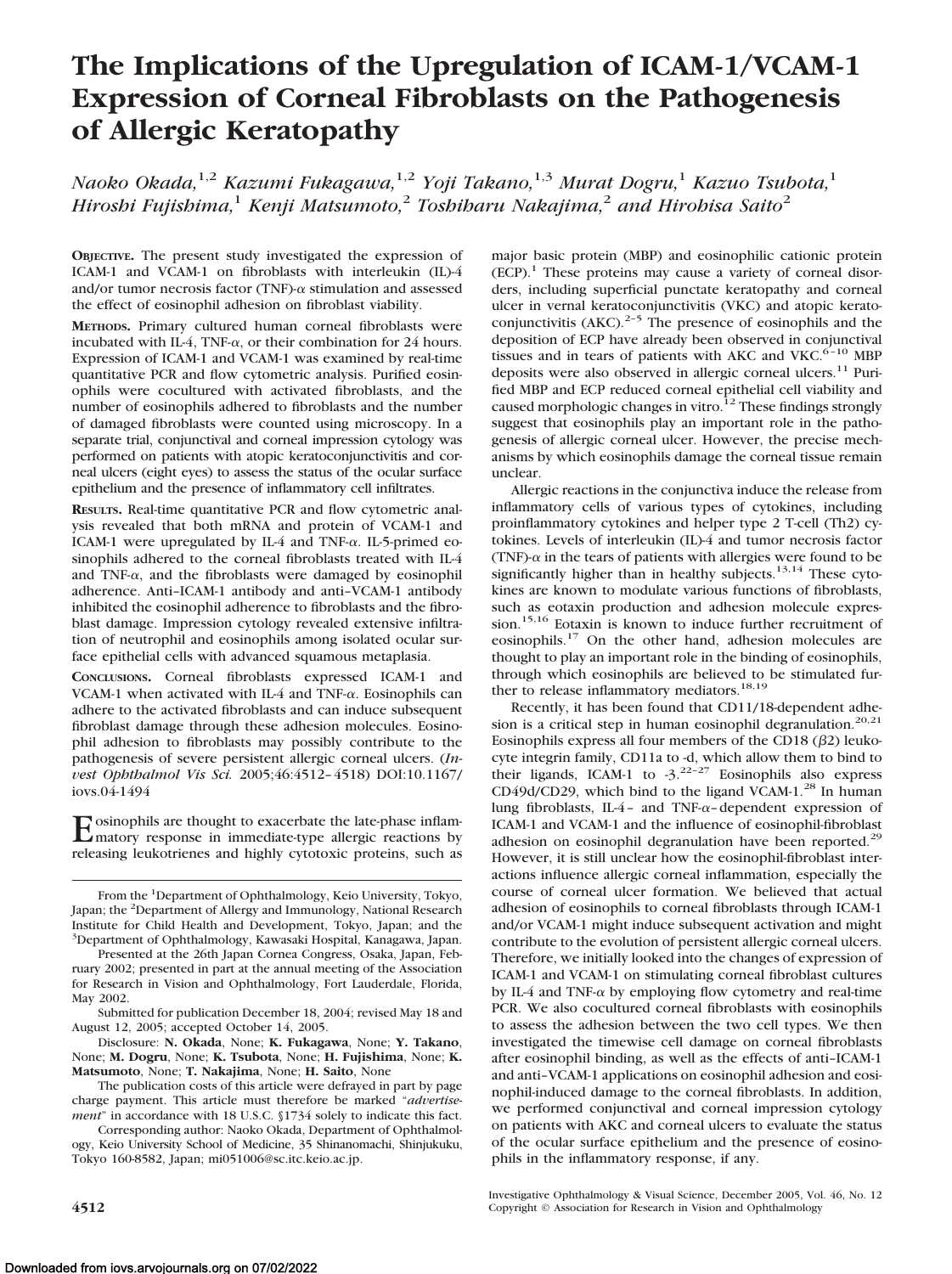# **The Implications of the Upregulation of ICAM-1/VCAM-1 Expression of Corneal Fibroblasts on the Pathogenesis of Allergic Keratopathy**

*Naoko Okada,*1,2 *Kazumi Fukagawa,*1,2 *Yoji Takano,*1,3 *Murat Dogru,*<sup>1</sup> *Kazuo Tsubota,*<sup>1</sup> *Hiroshi Fujishima,*<sup>1</sup> *Kenji Matsumoto,*<sup>2</sup> *Toshiharu Nakajima,*<sup>2</sup> *and Hirohisa Saito*<sup>2</sup>

**OBJECTIVE.** The present study investigated the expression of ICAM-1 and VCAM-1 on fibroblasts with interleukin (IL)-4 and/or tumor necrosis factor (TNF)- $\alpha$  stimulation and assessed the effect of eosinophil adhesion on fibroblast viability.

**METHODS.** Primary cultured human corneal fibroblasts were incubated with IL-4, TNF- $\alpha$ , or their combination for 24 hours. Expression of ICAM-1 and VCAM-1 was examined by real-time quantitative PCR and flow cytometric analysis. Purified eosinophils were cocultured with activated fibroblasts, and the number of eosinophils adhered to fibroblasts and the number of damaged fibroblasts were counted using microscopy. In a separate trial, conjunctival and corneal impression cytology was performed on patients with atopic keratoconjunctivitis and corneal ulcers (eight eyes) to assess the status of the ocular surface epithelium and the presence of inflammatory cell infiltrates.

**RESULTS.** Real-time quantitative PCR and flow cytometric analysis revealed that both mRNA and protein of VCAM-1 and ICAM-1 were upregulated by IL-4 and TNF- $\alpha$ . IL-5-primed eosinophils adhered to the corneal fibroblasts treated with IL-4 and TNF- $\alpha$ , and the fibroblasts were damaged by eosinophil adherence. Anti–ICAM-1 antibody and anti–VCAM-1 antibody inhibited the eosinophil adherence to fibroblasts and the fibroblast damage. Impression cytology revealed extensive infiltration of neutrophil and eosinophils among isolated ocular surface epithelial cells with advanced squamous metaplasia.

**CONCLUSIONS.** Corneal fibroblasts expressed ICAM-1 and VCAM-1 when activated with IL-4 and TNF- $\alpha$ . Eosinophils can adhere to the activated fibroblasts and can induce subsequent fibroblast damage through these adhesion molecules. Eosinophil adhesion to fibroblasts may possibly contribute to the pathogenesis of severe persistent allergic corneal ulcers. (*Invest Ophthalmol Vis Sci.* 2005;46:4512– 4518) DOI:10.1167/ iovs.04-1494

Eosinophils are thought to exacerbate the late-phase inflam-<br>matory response in immediate-type allergic reactions by releasing leukotrienes and highly cytotoxic proteins, such as

Presented at the 26th Japan Cornea Congress, Osaka, Japan, February 2002; presented in part at the annual meeting of the Association for Research in Vision and Ophthalmology, Fort Lauderdale, Florida, May 2002.

Submitted for publication December 18, 2004; revised May 18 and August 12, 2005; accepted October 14, 2005.

Disclosure: **N. Okada**, None; **K. Fukagawa**, None; **Y. Takano**, None; **M. Dogru**, None; **K. Tsubota**, None; **H. Fujishima**, None; **K. Matsumoto**, None; **T. Nakajima**, None; **H. Saito**, None

The publication costs of this article were defrayed in part by page charge payment. This article must therefore be marked "*advertisement*" in accordance with 18 U.S.C. §1734 solely to indicate this fact.

Corresponding author: Naoko Okada, Department of Ophthalmology, Keio University School of Medicine, 35 Shinanomachi, Shinjukuku, Tokyo 160-8582, Japan; mi051006@sc.itc.keio.ac.jp.

major basic protein (MBP) and eosinophilic cationic protein  $(ECP).$ <sup>1</sup> These proteins may cause a variety of corneal disorders, including superficial punctate keratopathy and corneal ulcer in vernal keratoconjunctivitis (VKC) and atopic keratoconjunctivitis  $(AKC).^{2-5}$  The presence of eosinophils and the deposition of ECP have already been observed in conjunctival tissues and in tears of patients with AKC and VKC. $6-10$  MBP deposits were also observed in allergic corneal ulcers.<sup>11</sup> Purified MBP and ECP reduced corneal epithelial cell viability and caused morphologic changes in vitro.<sup>12</sup> These findings strongly suggest that eosinophils play an important role in the pathogenesis of allergic corneal ulcer. However, the precise mechanisms by which eosinophils damage the corneal tissue remain unclear.

Allergic reactions in the conjunctiva induce the release from inflammatory cells of various types of cytokines, including proinflammatory cytokines and helper type 2 T-cell (Th2) cytokines. Levels of interleukin (IL)-4 and tumor necrosis factor (TNF)- $\alpha$  in the tears of patients with allergies were found to be significantly higher than in healthy subjects. $13,14$  These cytokines are known to modulate various functions of fibroblasts, such as eotaxin production and adhesion molecule expression.15,16 Eotaxin is known to induce further recruitment of eosinophils.17 On the other hand, adhesion molecules are thought to play an important role in the binding of eosinophils, through which eosinophils are believed to be stimulated further to release inflammatory mediators.<sup>18,19</sup>

Recently, it has been found that CD11/18-dependent adhesion is a critical step in human eosinophil degranulation.<sup>20,21</sup> Eosinophils express all four members of the CD18  $(\beta 2)$  leukocyte integrin family, CD11a to -d, which allow them to bind to their ligands, ICAM-1 to  $-3$ .<sup>22-27</sup> Eosinophils also express CD49d/CD29, which bind to the ligand VCAM-1.<sup>28</sup> In human lung fibroblasts, IL-4 - and TNF- $\alpha$ -dependent expression of ICAM-1 and VCAM-1 and the influence of eosinophil-fibroblast adhesion on eosinophil degranulation have been reported.<sup>29</sup> However, it is still unclear how the eosinophil-fibroblast interactions influence allergic corneal inflammation, especially the course of corneal ulcer formation. We believed that actual adhesion of eosinophils to corneal fibroblasts through ICAM-1 and/or VCAM-1 might induce subsequent activation and might contribute to the evolution of persistent allergic corneal ulcers. Therefore, we initially looked into the changes of expression of ICAM-1 and VCAM-1 on stimulating corneal fibroblast cultures by IL-4 and TNF- $\alpha$  by employing flow cytometry and real-time PCR. We also cocultured corneal fibroblasts with eosinophils to assess the adhesion between the two cell types. We then investigated the timewise cell damage on corneal fibroblasts after eosinophil binding, as well as the effects of anti–ICAM-1 and anti–VCAM-1 applications on eosinophil adhesion and eosinophil-induced damage to the corneal fibroblasts. In addition, we performed conjunctival and corneal impression cytology on patients with AKC and corneal ulcers to evaluate the status of the ocular surface epithelium and the presence of eosinophils in the inflammatory response, if any.

Investigative Ophthalmology & Visual Science, December 2005, Vol. 46, No. 12 **4512** Copyright © Association for Research in Vision and Ophthalmology

From the <sup>1</sup>Department of Ophthalmology, Keio University, Tokyo, Japan; the <sup>2</sup>Department of Allergy and Immunology, National Research Institute for Child Health and Development, Tokyo, Japan; and the 3 Department of Ophthalmology, Kawasaki Hospital, Kanagawa, Japan.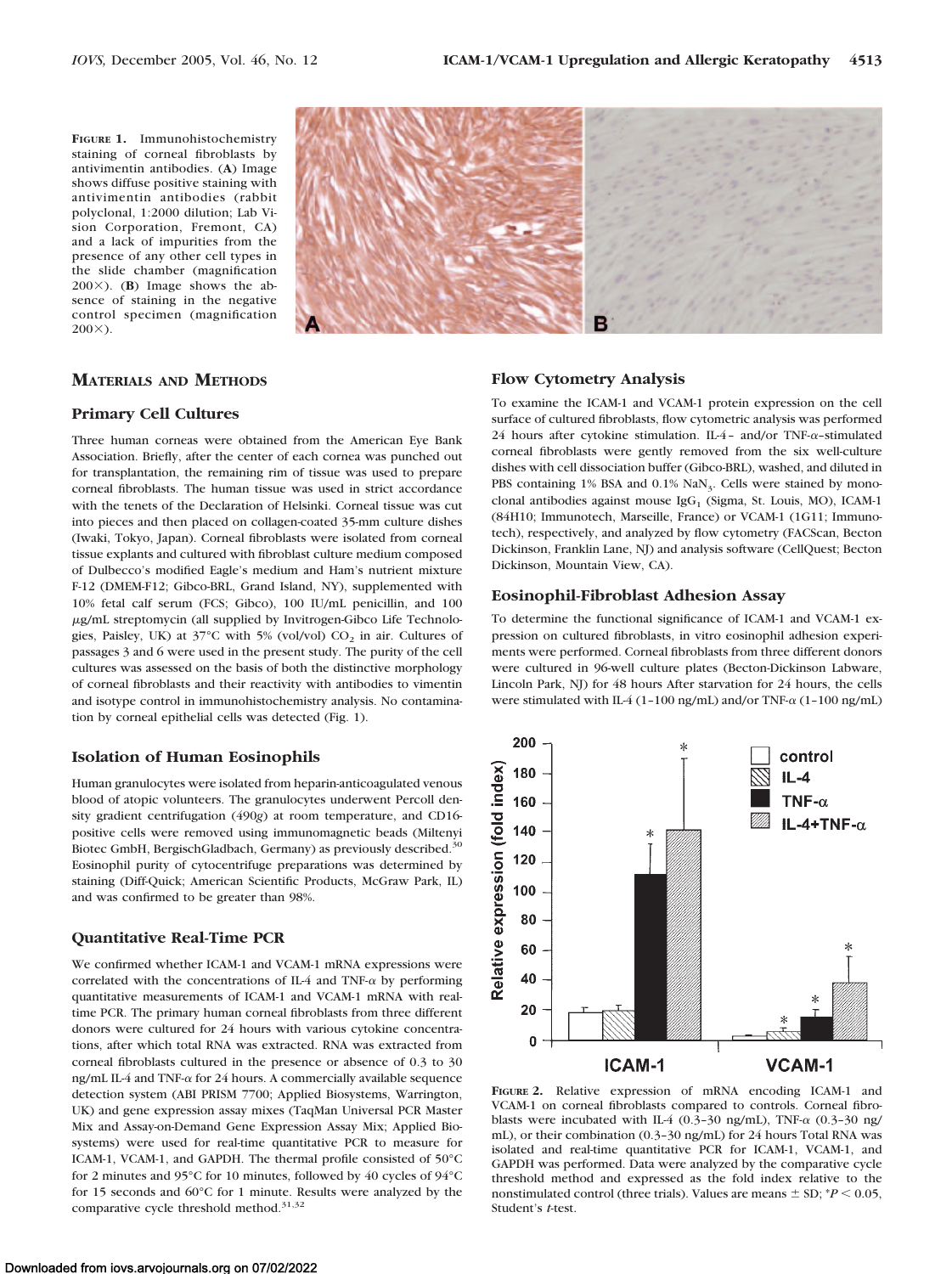**FIGURE 1.** Immunohistochemistry staining of corneal fibroblasts by antivimentin antibodies. (**A**) Image shows diffuse positive staining with antivimentin antibodies (rabbit polyclonal, 1:2000 dilution; Lab Vision Corporation, Fremont, CA) and a lack of impurities from the presence of any other cell types in the slide chamber (magnification  $200 \times$ ). (**B**) Image shows the absence of staining in the negative control specimen (magnification  $200X$ ).



## **MATERIALS AND METHODS**

### **Primary Cell Cultures**

Three human corneas were obtained from the American Eye Bank Association. Briefly, after the center of each cornea was punched out for transplantation, the remaining rim of tissue was used to prepare corneal fibroblasts. The human tissue was used in strict accordance with the tenets of the Declaration of Helsinki. Corneal tissue was cut into pieces and then placed on collagen-coated 35-mm culture dishes (Iwaki, Tokyo, Japan). Corneal fibroblasts were isolated from corneal tissue explants and cultured with fibroblast culture medium composed of Dulbecco's modified Eagle's medium and Ham's nutrient mixture F-12 (DMEM-F12; Gibco-BRL, Grand Island, NY), supplemented with 10% fetal calf serum (FCS; Gibco), 100 IU/mL penicillin, and 100 g/mL streptomycin (all supplied by Invitrogen-Gibco Life Technologies, Paisley, UK) at  $37^{\circ}$ C with 5% (vol/vol)  $CO_2$  in air. Cultures of passages 3 and 6 were used in the present study. The purity of the cell cultures was assessed on the basis of both the distinctive morphology of corneal fibroblasts and their reactivity with antibodies to vimentin and isotype control in immunohistochemistry analysis. No contamination by corneal epithelial cells was detected (Fig. 1).

## **Isolation of Human Eosinophils**

Human granulocytes were isolated from heparin-anticoagulated venous blood of atopic volunteers. The granulocytes underwent Percoll density gradient centrifugation (490*g*) at room temperature, and CD16 positive cells were removed using immunomagnetic beads (Miltenyi Biotec GmbH, BergischGladbach, Germany) as previously described.30 Eosinophil purity of cytocentrifuge preparations was determined by staining (Diff-Quick; American Scientific Products, McGraw Park, IL) and was confirmed to be greater than 98%.

## **Quantitative Real-Time PCR**

We confirmed whether ICAM-1 and VCAM-1 mRNA expressions were correlated with the concentrations of IL-4 and TNF- $\alpha$  by performing quantitative measurements of ICAM-1 and VCAM-1 mRNA with realtime PCR. The primary human corneal fibroblasts from three different donors were cultured for 24 hours with various cytokine concentrations, after which total RNA was extracted. RNA was extracted from corneal fibroblasts cultured in the presence or absence of 0.3 to 30 ng/mL IL-4 and TNF- $\alpha$  for 24 hours. A commercially available sequence detection system (ABI PRISM 7700; Applied Biosystems, Warrington, UK) and gene expression assay mixes (TaqMan Universal PCR Master Mix and Assay-on-Demand Gene Expression Assay Mix; Applied Biosystems) were used for real-time quantitative PCR to measure for ICAM-1, VCAM-1, and GAPDH. The thermal profile consisted of 50°C for 2 minutes and 95°C for 10 minutes, followed by 40 cycles of 94°C for 15 seconds and 60°C for 1 minute. Results were analyzed by the comparative cycle threshold method.<sup>31,32</sup>

## **Flow Cytometry Analysis**

To examine the ICAM-1 and VCAM-1 protein expression on the cell surface of cultured fibroblasts, flow cytometric analysis was performed 24 hours after cytokine stimulation. IL-4 - and/or TNF- $\alpha$ -stimulated corneal fibroblasts were gently removed from the six well-culture dishes with cell dissociation buffer (Gibco-BRL), washed, and diluted in PBS containing  $1\%$  BSA and  $0.1\%$  NaN<sub>3</sub>. Cells were stained by monoclonal antibodies against mouse  $IgG<sub>1</sub>$  (Sigma, St. Louis, MO), ICAM-1 (84H10; Immunotech, Marseille, France) or VCAM-1 (1G11; Immunotech), respectively, and analyzed by flow cytometry (FACScan, Becton Dickinson, Franklin Lane, NJ) and analysis software (CellQuest; Becton Dickinson, Mountain View, CA).

#### **Eosinophil-Fibroblast Adhesion Assay**

To determine the functional significance of ICAM-1 and VCAM-1 expression on cultured fibroblasts, in vitro eosinophil adhesion experiments were performed. Corneal fibroblasts from three different donors were cultured in 96-well culture plates (Becton-Dickinson Labware, Lincoln Park, NJ) for 48 hours After starvation for 24 hours, the cells were stimulated with IL-4 (1-100 ng/mL) and/or TNF- $\alpha$  (1-100 ng/mL)



**FIGURE 2.** Relative expression of mRNA encoding ICAM-1 and VCAM-1 on corneal fibroblasts compared to controls. Corneal fibroblasts were incubated with IL-4 (0.3-30 ng/mL), TNF- $\alpha$  (0.3-30 ng/ mL), or their combination (0.3–30 ng/mL) for 24 hours Total RNA was isolated and real-time quantitative PCR for ICAM-1, VCAM-1, and GAPDH was performed. Data were analyzed by the comparative cycle threshold method and expressed as the fold index relative to the nonstimulated control (three trials). Values are means  $\pm$  SD;  $^*P$  < 0.05, Student's *t*-test.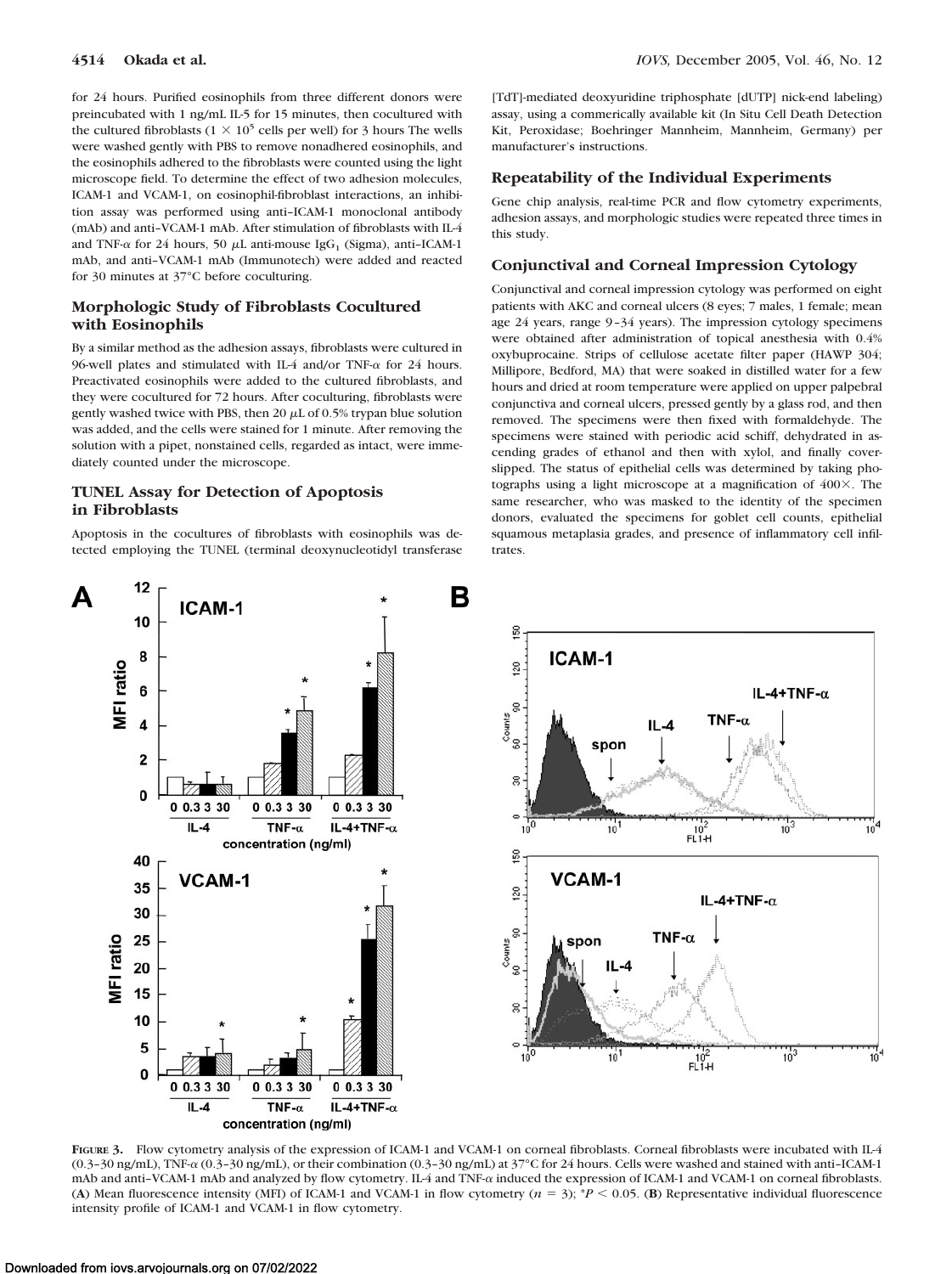for 24 hours. Purified eosinophils from three different donors were preincubated with 1 ng/mL IL-5 for 15 minutes, then cocultured with the cultured fibroblasts ( $1 \times 10^5$  cells per well) for 3 hours The wells were washed gently with PBS to remove nonadhered eosinophils, and the eosinophils adhered to the fibroblasts were counted using the light microscope field. To determine the effect of two adhesion molecules, ICAM-1 and VCAM-1, on eosinophil-fibroblast interactions, an inhibition assay was performed using anti–ICAM-1 monoclonal antibody (mAb) and anti–VCAM-1 mAb. After stimulation of fibroblasts with IL-4 and TNF- $\alpha$  for 24 hours, 50  $\mu$ L anti-mouse IgG<sub>1</sub> (Sigma), anti-ICAM-1 mAb, and anti–VCAM-1 mAb (Immunotech) were added and reacted for 30 minutes at 37°C before coculturing.

# **Morphologic Study of Fibroblasts Cocultured with Eosinophils**

By a similar method as the adhesion assays, fibroblasts were cultured in 96-well plates and stimulated with IL-4 and/or TNF- $\alpha$  for 24 hours. Preactivated eosinophils were added to the cultured fibroblasts, and they were cocultured for 72 hours. After coculturing, fibroblasts were gently washed twice with PBS, then 20  $\mu$ L of 0.5% trypan blue solution was added, and the cells were stained for 1 minute. After removing the solution with a pipet, nonstained cells, regarded as intact, were immediately counted under the microscope.

## **TUNEL Assay for Detection of Apoptosis in Fibroblasts**

Apoptosis in the cocultures of fibroblasts with eosinophils was detected employing the TUNEL (terminal deoxynucleotidyl transferase [TdT]-mediated deoxyuridine triphosphate [dUTP] nick-end labeling) assay, using a commerically available kit (In Situ Cell Death Detection Kit, Peroxidase; Boehringer Mannheim, Mannheim, Germany) per manufacturer's instructions.

# **Repeatability of the Individual Experiments**

Gene chip analysis, real-time PCR and flow cytometry experiments, adhesion assays, and morphologic studies were repeated three times in this study.

## **Conjunctival and Corneal Impression Cytology**

Conjunctival and corneal impression cytology was performed on eight patients with AKC and corneal ulcers (8 eyes; 7 males, 1 female; mean age 24 years, range 9 –34 years). The impression cytology specimens were obtained after administration of topical anesthesia with 0.4% oxybuprocaine. Strips of cellulose acetate filter paper (HAWP 304; Millipore, Bedford, MA) that were soaked in distilled water for a few hours and dried at room temperature were applied on upper palpebral conjunctiva and corneal ulcers, pressed gently by a glass rod, and then removed. The specimens were then fixed with formaldehyde. The specimens were stained with periodic acid schiff, dehydrated in ascending grades of ethanol and then with xylol, and finally coverslipped. The status of epithelial cells was determined by taking photographs using a light microscope at a magnification of  $400\times$ . The same researcher, who was masked to the identity of the specimen donors, evaluated the specimens for goblet cell counts, epithelial squamous metaplasia grades, and presence of inflammatory cell infiltrates.



FIGURE 3. Flow cytometry analysis of the expression of ICAM-1 and VCAM-1 on corneal fibroblasts. Corneal fibroblasts were incubated with IL-4  $(0.3-30 \text{ ng/mL})$ , TNF- $\alpha$  (0.3–30 ng/mL), or their combination (0.3–30 ng/mL) at 37°C for 24 hours. Cells were washed and stained with anti–ICAM-1 mAb and anti-VCAM-1 mAb and analyzed by flow cytometry. IL-4 and TNF- $\alpha$  induced the expression of ICAM-1 and VCAM-1 on corneal fibroblasts. (A) Mean fluorescence intensity (MFI) of ICAM-1 and VCAM-1 in flow cytometry  $(n = 3)$ ;  $P < 0.05$ . (B) Representative individual fluorescence intensity profile of ICAM-1 and VCAM-1 in flow cytometry.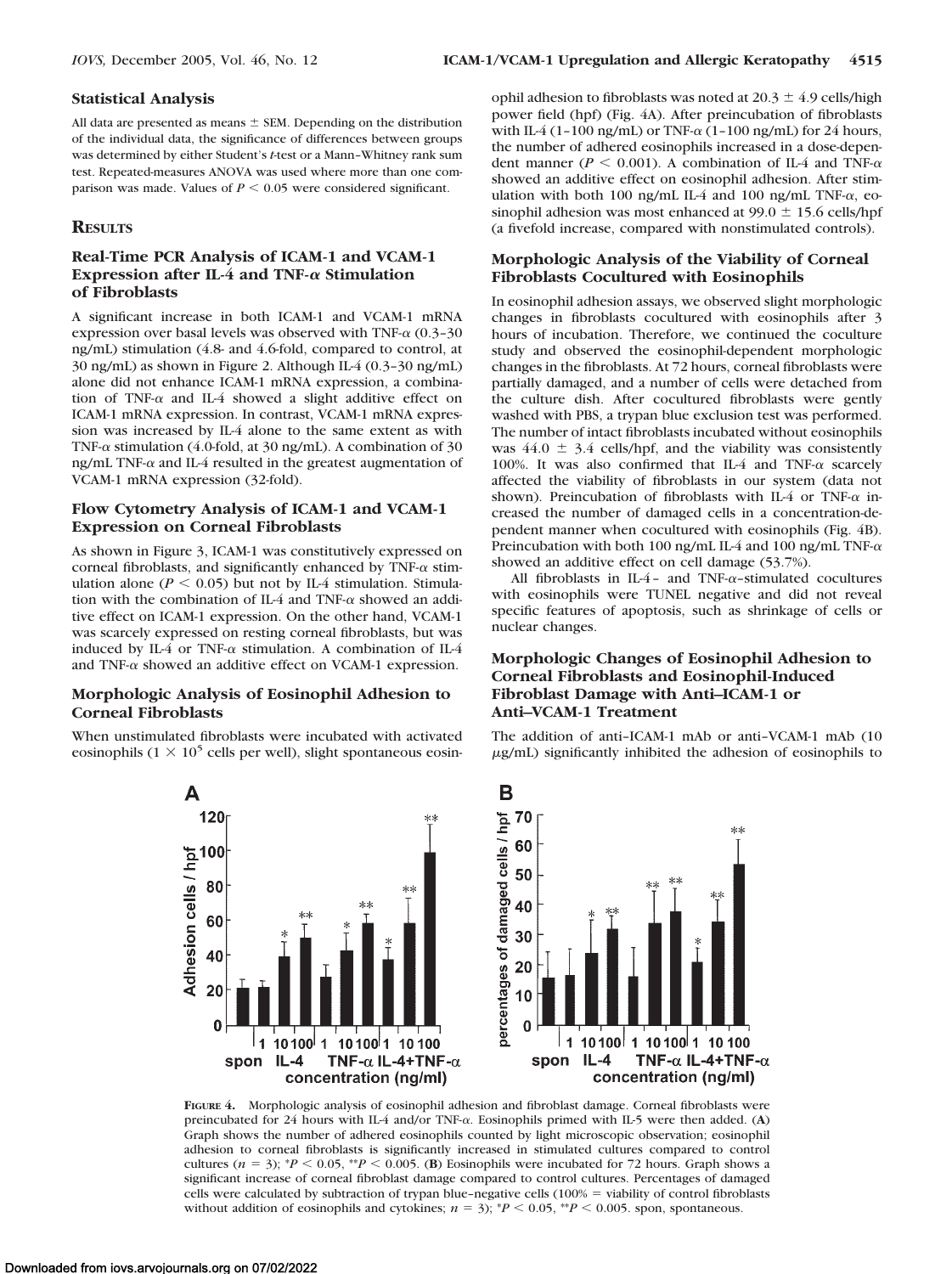All data are presented as means  $\pm$  SEM. Depending on the distribution of the individual data, the significance of differences between groups was determined by either Student's *t*-test or a Mann–Whitney rank sum test. Repeated-measures ANOVA was used where more than one comparison was made. Values of  $P \leq 0.05$  were considered significant.

# **RESULTS**

# **Real-Time PCR Analysis of ICAM-1 and VCAM-1 Expression after IL-4 and TNF-** $\alpha$  **Stimulation of Fibroblasts**

A significant increase in both ICAM-1 and VCAM-1 mRNA expression over basal levels was observed with TNF- $\alpha$  (0.3-30) ng/mL) stimulation (4.8- and 4.6-fold, compared to control, at 30 ng/mL) as shown in Figure 2. Although IL-4 (0.3–30 ng/mL) alone did not enhance ICAM-1 mRNA expression, a combination of TNF- $\alpha$  and IL-4 showed a slight additive effect on ICAM-1 mRNA expression. In contrast, VCAM-1 mRNA expression was increased by IL-4 alone to the same extent as with TNF- $\alpha$  stimulation (4.0-fold, at 30 ng/mL). A combination of 30 ng/mL TNF- $\alpha$  and IL-4 resulted in the greatest augmentation of VCAM-1 mRNA expression (32-fold).

# **Flow Cytometry Analysis of ICAM-1 and VCAM-1 Expression on Corneal Fibroblasts**

As shown in Figure 3, ICAM-1 was constitutively expressed on corneal fibroblasts, and significantly enhanced by TNF- $\alpha$  stimulation alone ( $P \le 0.05$ ) but not by IL-4 stimulation. Stimulation with the combination of IL-4 and TNF- $\alpha$  showed an additive effect on ICAM-1 expression. On the other hand, VCAM-1 was scarcely expressed on resting corneal fibroblasts, but was induced by IL-4 or TNF- $\alpha$  stimulation. A combination of IL-4 and TNF- $\alpha$  showed an additive effect on VCAM-1 expression.

# **Morphologic Analysis of Eosinophil Adhesion to Corneal Fibroblasts**

When unstimulated fibroblasts were incubated with activated eosinophils (1  $\times$  10<sup>5</sup> cells per well), slight spontaneous eosinophil adhesion to fibroblasts was noted at  $20.3 \pm 4.9$  cells/high power field (hpf) (Fig. 4A). After preincubation of fibroblasts with IL-4 (1-100 ng/mL) or TNF- $\alpha$  (1-100 ng/mL) for 24 hours, the number of adhered eosinophils increased in a dose-dependent manner ( $P \le 0.001$ ). A combination of IL-4 and TNF- $\alpha$ showed an additive effect on eosinophil adhesion. After stimulation with both 100 ng/mL IL-4 and 100 ng/mL TNF- $\alpha$ , eosinophil adhesion was most enhanced at  $99.0 \pm 15.6$  cells/hpf (a fivefold increase, compared with nonstimulated controls).

# **Morphologic Analysis of the Viability of Corneal Fibroblasts Cocultured with Eosinophils**

In eosinophil adhesion assays, we observed slight morphologic changes in fibroblasts cocultured with eosinophils after 3 hours of incubation. Therefore, we continued the coculture study and observed the eosinophil-dependent morphologic changes in the fibroblasts. At 72 hours, corneal fibroblasts were partially damaged, and a number of cells were detached from the culture dish. After cocultured fibroblasts were gently washed with PBS, a trypan blue exclusion test was performed. The number of intact fibroblasts incubated without eosinophils was  $44.0 \pm 3.4$  cells/hpf, and the viability was consistently 100%. It was also confirmed that IL-4 and TNF- $\alpha$  scarcely affected the viability of fibroblasts in our system (data not shown). Preincubation of fibroblasts with IL-4 or TNF- $\alpha$  increased the number of damaged cells in a concentration-dependent manner when cocultured with eosinophils (Fig. 4B). Preincubation with both 100 ng/mL IL-4 and 100 ng/mL TNF- $\alpha$ showed an additive effect on cell damage (53.7%).

All fibroblasts in IL-4- and TNF- $\alpha$ -stimulated cocultures with eosinophils were TUNEL negative and did not reveal specific features of apoptosis, such as shrinkage of cells or nuclear changes.

# **Morphologic Changes of Eosinophil Adhesion to Corneal Fibroblasts and Eosinophil-Induced Fibroblast Damage with Anti–ICAM-1 or Anti–VCAM-1 Treatment**

The addition of anti–ICAM-1 mAb or anti–VCAM-1 mAb (10 g/mL) significantly inhibited the adhesion of eosinophils to



**FIGURE 4.** Morphologic analysis of eosinophil adhesion and fibroblast damage. Corneal fibroblasts were preincubated for 24 hours with IL-4 and/or TNF- $\alpha$ . Eosinophils primed with IL-5 were then added. (A) Graph shows the number of adhered eosinophils counted by light microscopic observation; eosinophil adhesion to corneal fibroblasts is significantly increased in stimulated cultures compared to control cultures ( $n = 3$ );  ${}^*P$  < 0.05,  ${}^*P$  < 0.005. (**B**) Eosinophils were incubated for 72 hours. Graph shows a significant increase of corneal fibroblast damage compared to control cultures. Percentages of damaged cells were calculated by subtraction of trypan blue–negative cells  $(100\% = \text{viability of control fibroblasts})$ without addition of eosinophils and cytokines;  $n = 3$ ;  $^{*}P < 0.05$ ,  $^{*}P < 0.005$ . spon, spontaneous.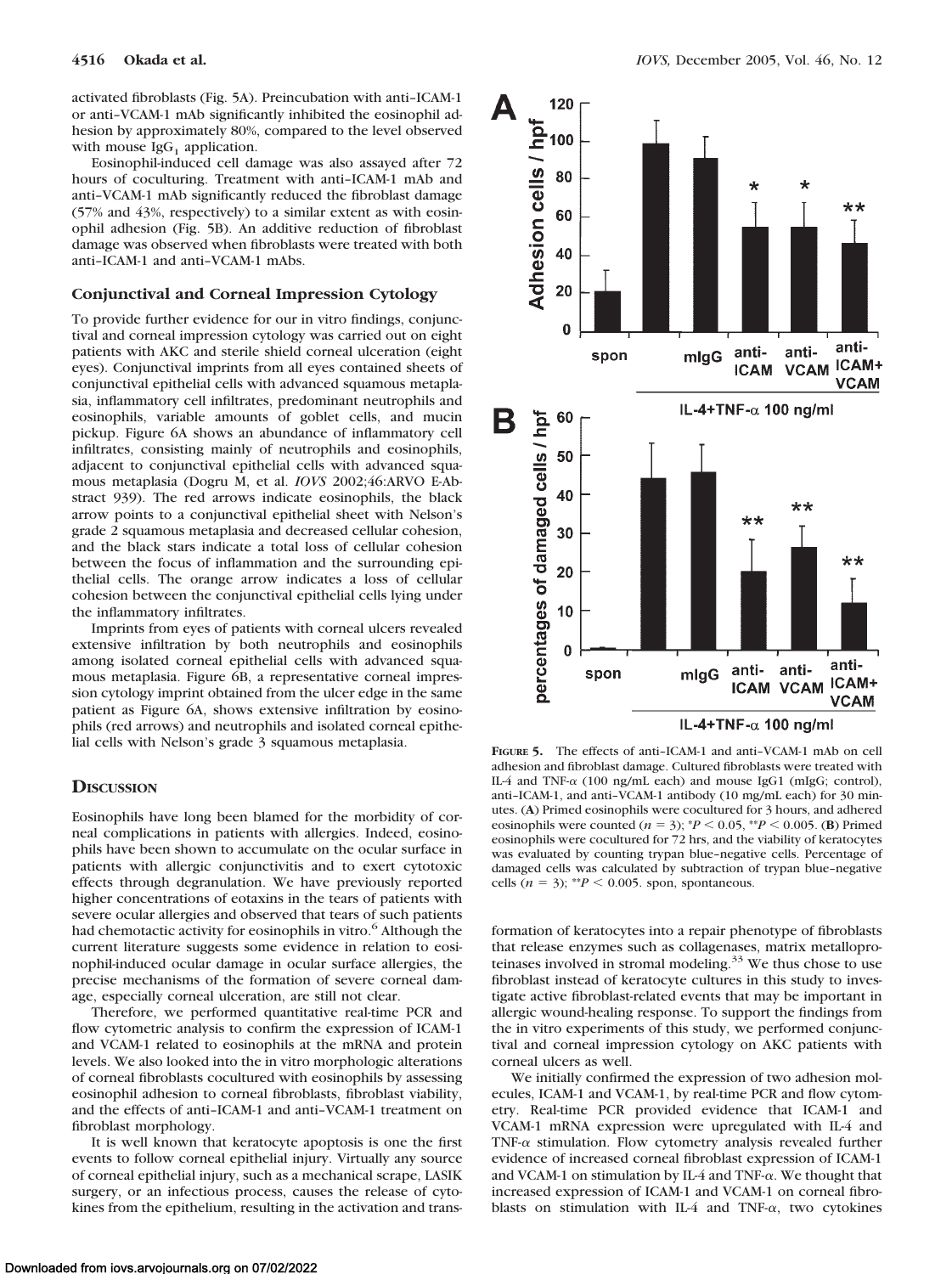activated fibroblasts (Fig. 5A). Preincubation with anti–ICAM-1 or anti–VCAM-1 mAb significantly inhibited the eosinophil adhesion by approximately 80%, compared to the level observed with mouse  $IgG<sub>1</sub>$  application.

Eosinophil-induced cell damage was also assayed after 72 hours of coculturing. Treatment with anti–ICAM-1 mAb and anti–VCAM-1 mAb significantly reduced the fibroblast damage (57% and 43%, respectively) to a similar extent as with eosinophil adhesion (Fig. 5B). An additive reduction of fibroblast damage was observed when fibroblasts were treated with both anti–ICAM-1 and anti–VCAM-1 mAbs.

## **Conjunctival and Corneal Impression Cytology**

To provide further evidence for our in vitro findings, conjunctival and corneal impression cytology was carried out on eight patients with AKC and sterile shield corneal ulceration (eight eyes). Conjunctival imprints from all eyes contained sheets of conjunctival epithelial cells with advanced squamous metaplasia, inflammatory cell infiltrates, predominant neutrophils and eosinophils, variable amounts of goblet cells, and mucin pickup. Figure 6A shows an abundance of inflammatory cell infiltrates, consisting mainly of neutrophils and eosinophils, adjacent to conjunctival epithelial cells with advanced squamous metaplasia (Dogru M, et al. *IOVS* 2002;46:ARVO E-Abstract 939). The red arrows indicate eosinophils, the black arrow points to a conjunctival epithelial sheet with Nelson's grade 2 squamous metaplasia and decreased cellular cohesion, and the black stars indicate a total loss of cellular cohesion between the focus of inflammation and the surrounding epithelial cells. The orange arrow indicates a loss of cellular cohesion between the conjunctival epithelial cells lying under the inflammatory infiltrates.

Imprints from eyes of patients with corneal ulcers revealed extensive infiltration by both neutrophils and eosinophils among isolated corneal epithelial cells with advanced squamous metaplasia. Figure 6B, a representative corneal impression cytology imprint obtained from the ulcer edge in the same patient as Figure 6A, shows extensive infiltration by eosinophils (red arrows) and neutrophils and isolated corneal epithelial cells with Nelson's grade 3 squamous metaplasia.

#### **DISCUSSION**

Eosinophils have long been blamed for the morbidity of corneal complications in patients with allergies. Indeed, eosinophils have been shown to accumulate on the ocular surface in patients with allergic conjunctivitis and to exert cytotoxic effects through degranulation. We have previously reported higher concentrations of eotaxins in the tears of patients with severe ocular allergies and observed that tears of such patients had chemotactic activity for eosinophils in vitro.<sup>6</sup> Although the current literature suggests some evidence in relation to eosinophil-induced ocular damage in ocular surface allergies, the precise mechanisms of the formation of severe corneal damage, especially corneal ulceration, are still not clear.

Therefore, we performed quantitative real-time PCR and flow cytometric analysis to confirm the expression of ICAM-1 and VCAM-1 related to eosinophils at the mRNA and protein levels. We also looked into the in vitro morphologic alterations of corneal fibroblasts cocultured with eosinophils by assessing eosinophil adhesion to corneal fibroblasts, fibroblast viability, and the effects of anti–ICAM-1 and anti–VCAM-1 treatment on fibroblast morphology.

It is well known that keratocyte apoptosis is one the first events to follow corneal epithelial injury. Virtually any source of corneal epithelial injury, such as a mechanical scrape, LASIK surgery, or an infectious process, causes the release of cytokines from the epithelium, resulting in the activation and trans-



**FIGURE 5.** The effects of anti–ICAM-1 and anti–VCAM-1 mAb on cell adhesion and fibroblast damage. Cultured fibroblasts were treated with IL-4 and TNF- $\alpha$  (100 ng/mL each) and mouse IgG1 (mIgG; control), anti–ICAM-1, and anti–VCAM-1 antibody (10 mg/mL each) for 30 minutes. (**A**) Primed eosinophils were cocultured for 3 hours, and adhered eosinophils were counted  $(n = 3)$ ;  $*P < 0.05$ ,  $*P < 0.005$ . (**B**) Primed eosinophils were cocultured for 72 hrs, and the viability of keratocytes was evaluated by counting trypan blue–negative cells. Percentage of damaged cells was calculated by subtraction of trypan blue–negative cells  $(n = 3)$ ; \*\**P* < 0.005. spon, spontaneous.

formation of keratocytes into a repair phenotype of fibroblasts that release enzymes such as collagenases, matrix metalloproteinases involved in stromal modeling.<sup>33</sup> We thus chose to use fibroblast instead of keratocyte cultures in this study to investigate active fibroblast-related events that may be important in allergic wound-healing response. To support the findings from the in vitro experiments of this study, we performed conjunctival and corneal impression cytology on AKC patients with corneal ulcers as well.

We initially confirmed the expression of two adhesion molecules, ICAM-1 and VCAM-1, by real-time PCR and flow cytometry. Real-time PCR provided evidence that ICAM-1 and VCAM-1 mRNA expression were upregulated with IL-4 and TNF- $\alpha$  stimulation. Flow cytometry analysis revealed further evidence of increased corneal fibroblast expression of ICAM-1 and VCAM-1 on stimulation by IL-4 and TNF- $\alpha$ . We thought that increased expression of ICAM-1 and VCAM-1 on corneal fibroblasts on stimulation with IL-4 and TNF- $\alpha$ , two cytokines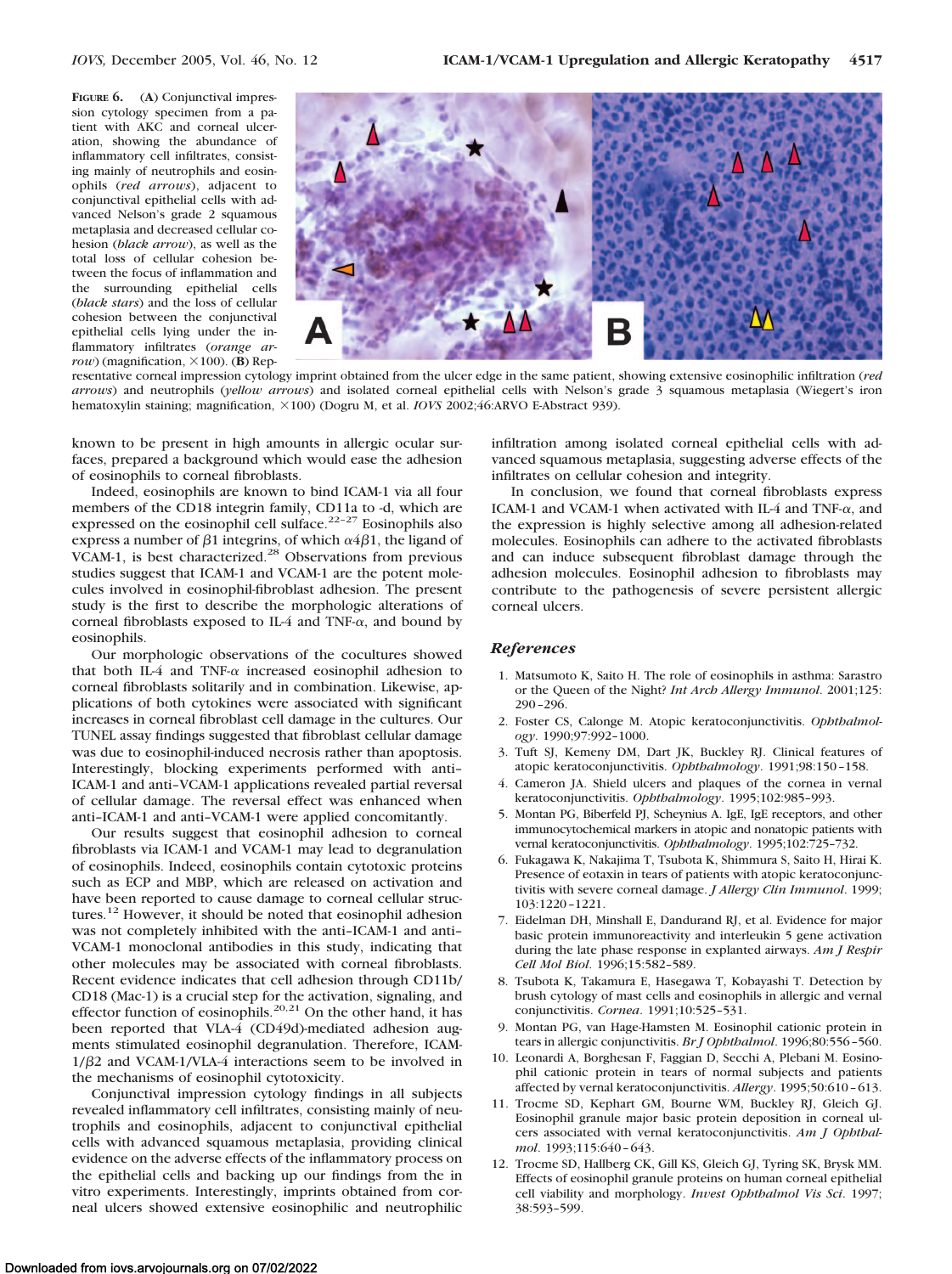**FIGURE 6.** (**A**) Conjunctival impression cytology specimen from a patient with AKC and corneal ulceration, showing the abundance of inflammatory cell infiltrates, consisting mainly of neutrophils and eosinophils (*red arrows*), adjacent to conjunctival epithelial cells with advanced Nelson's grade 2 squamous metaplasia and decreased cellular cohesion (*black arrow*), as well as the total loss of cellular cohesion between the focus of inflammation and the surrounding epithelial cells (*black stars*) and the loss of cellular cohesion between the conjunctival epithelial cells lying under the inflammatory infiltrates (*orange ar* $row$ ) (magnification,  $\times$ 100). (**B**) Rep-



resentative corneal impression cytology imprint obtained from the ulcer edge in the same patient, showing extensive eosinophilic infiltration (*red arrows*) and neutrophils (*yellow arrows*) and isolated corneal epithelial cells with Nelson's grade 3 squamous metaplasia (Wiegert's iron hematoxylin staining; magnification,  $\times 100$ ) (Dogru M, et al. *IOVS* 2002;46:ARVO E-Abstract 939).

known to be present in high amounts in allergic ocular surfaces, prepared a background which would ease the adhesion of eosinophils to corneal fibroblasts.

Indeed, eosinophils are known to bind ICAM-1 via all four members of the CD18 integrin family, CD11a to -d, which are expressed on the eosinophil cell sulface.<sup>22-27</sup> Eosinophils also express a number of  $\beta$ 1 integrins, of which  $\alpha$ 4 $\beta$ 1, the ligand of VCAM-1, is best characterized.<sup>28</sup> Observations from previous studies suggest that ICAM-1 and VCAM-1 are the potent molecules involved in eosinophil-fibroblast adhesion. The present study is the first to describe the morphologic alterations of corneal fibroblasts exposed to IL-4 and TNF- $\alpha$ , and bound by eosinophils.

Our morphologic observations of the cocultures showed that both IL-4 and TNF- $\alpha$  increased eosinophil adhesion to corneal fibroblasts solitarily and in combination. Likewise, applications of both cytokines were associated with significant increases in corneal fibroblast cell damage in the cultures. Our TUNEL assay findings suggested that fibroblast cellular damage was due to eosinophil-induced necrosis rather than apoptosis. Interestingly, blocking experiments performed with anti– ICAM-1 and anti–VCAM-1 applications revealed partial reversal of cellular damage. The reversal effect was enhanced when anti–ICAM-1 and anti–VCAM-1 were applied concomitantly.

Our results suggest that eosinophil adhesion to corneal fibroblasts via ICAM-1 and VCAM-1 may lead to degranulation of eosinophils. Indeed, eosinophils contain cytotoxic proteins such as ECP and MBP, which are released on activation and have been reported to cause damage to corneal cellular structures.12 However, it should be noted that eosinophil adhesion was not completely inhibited with the anti–ICAM-1 and anti– VCAM-1 monoclonal antibodies in this study, indicating that other molecules may be associated with corneal fibroblasts. Recent evidence indicates that cell adhesion through CD11b/ CD18 (Mac-1) is a crucial step for the activation, signaling, and effector function of eosinophils.<sup>20,21</sup> On the other hand, it has been reported that VLA-4 (CD49d)-mediated adhesion augments stimulated eosinophil degranulation. Therefore, ICAM- $1/\beta$ 2 and VCAM-1/VLA-4 interactions seem to be involved in the mechanisms of eosinophil cytotoxicity.

Conjunctival impression cytology findings in all subjects revealed inflammatory cell infiltrates, consisting mainly of neutrophils and eosinophils, adjacent to conjunctival epithelial cells with advanced squamous metaplasia, providing clinical evidence on the adverse effects of the inflammatory process on the epithelial cells and backing up our findings from the in vitro experiments. Interestingly, imprints obtained from corneal ulcers showed extensive eosinophilic and neutrophilic infiltration among isolated corneal epithelial cells with advanced squamous metaplasia, suggesting adverse effects of the infiltrates on cellular cohesion and integrity.

In conclusion, we found that corneal fibroblasts express ICAM-1 and VCAM-1 when activated with IL-4 and TNF- $\alpha$ , and the expression is highly selective among all adhesion-related molecules. Eosinophils can adhere to the activated fibroblasts and can induce subsequent fibroblast damage through the adhesion molecules. Eosinophil adhesion to fibroblasts may contribute to the pathogenesis of severe persistent allergic corneal ulcers.

#### *References*

- 1. Matsumoto K, Saito H. The role of eosinophils in asthma: Sarastro or the Queen of the Night? *Int Arch Allergy Immunol*. 2001;125: 290 –296.
- 2. Foster CS, Calonge M. Atopic keratoconjunctivitis. *Ophthalmology*. 1990;97:992–1000.
- 3. Tuft SJ, Kemeny DM, Dart JK, Buckley RJ. Clinical features of atopic keratoconjunctivitis. *Ophthalmology*. 1991;98:150 –158.
- 4. Cameron JA. Shield ulcers and plaques of the cornea in vernal keratoconjunctivitis. *Ophthalmology*. 1995;102:985–993.
- 5. Montan PG, Biberfeld PJ, Scheynius A. IgE, IgE receptors, and other immunocytochemical markers in atopic and nonatopic patients with vernal keratoconjunctivitis. *Ophthalmology*. 1995;102:725–732.
- 6. Fukagawa K, Nakajima T, Tsubota K, Shimmura S, Saito H, Hirai K. Presence of eotaxin in tears of patients with atopic keratoconjunctivitis with severe corneal damage. *J Allergy Clin Immunol*. 1999; 103:1220 –1221.
- 7. Eidelman DH, Minshall E, Dandurand RJ, et al. Evidence for major basic protein immunoreactivity and interleukin 5 gene activation during the late phase response in explanted airways. *Am J Respir Cell Mol Biol*. 1996;15:582–589.
- 8. Tsubota K, Takamura E, Hasegawa T, Kobayashi T. Detection by brush cytology of mast cells and eosinophils in allergic and vernal conjunctivitis. *Cornea*. 1991;10:525–531.
- 9. Montan PG, van Hage-Hamsten M. Eosinophil cationic protein in tears in allergic conjunctivitis. *Br J Ophthalmol*. 1996;80:556 –560.
- 10. Leonardi A, Borghesan F, Faggian D, Secchi A, Plebani M. Eosinophil cationic protein in tears of normal subjects and patients affected by vernal keratoconjunctivitis. *Allergy*. 1995;50:610 – 613.
- 11. Trocme SD, Kephart GM, Bourne WM, Buckley RJ, Gleich GJ. Eosinophil granule major basic protein deposition in corneal ulcers associated with vernal keratoconjunctivitis. *Am J Ophthalmol*. 1993;115:640 – 643.
- 12. Trocme SD, Hallberg CK, Gill KS, Gleich GJ, Tyring SK, Brysk MM. Effects of eosinophil granule proteins on human corneal epithelial cell viability and morphology. *Invest Ophthalmol Vis Sci*. 1997; 38:593–599.